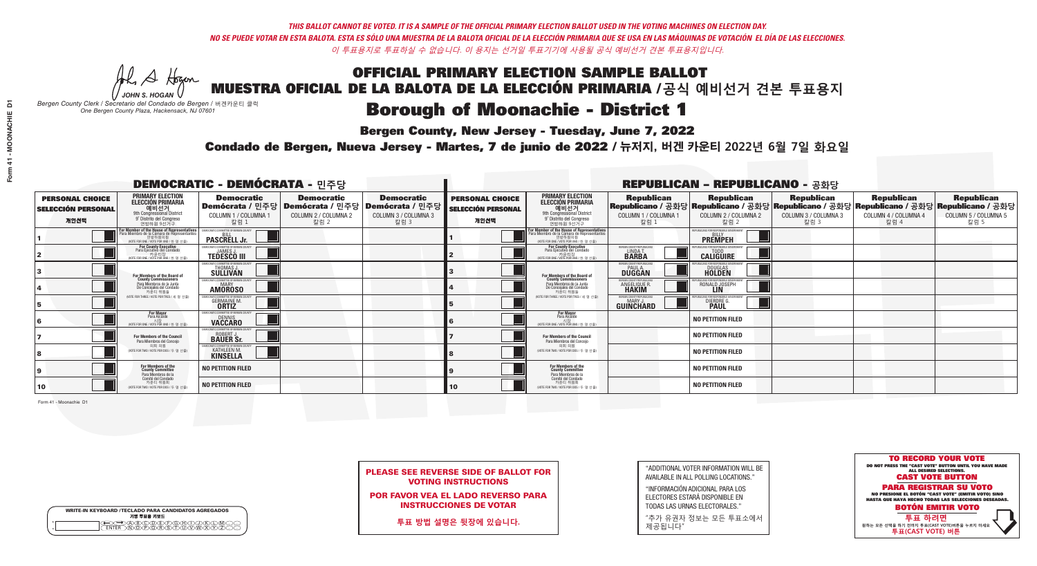A Hogen

## OFFICIAL PRIMARY ELECTION SAMPLE BALLOT MUESTRA OFICIAL DE LA BALOTA DE LA ELECCIÓN PRIMARIA /**공식 예비선거 견본 투표용지**

## **Borough of Moonachie - District 1**

**Bergen County, New Jersey - Tuesday, June 7, 2022** 

*JOHN S. HOGAN Bergen County Clerk / Secretario del Condado de Bergen /* 버겐카운티 클럭 *One Bergen County Plaza, Hackensack, NJ 07601*



PLEASE SEE REVERSE SIDE OF BALLOT FOR VOTING INSTRUCTIONS

POR FAVOR VEA EL LADO REVERSO PARA INSTRUCCIONES DE VOTAR

**투표 방법 설명은 뒷장에 있습니다.**

"ADDITIONAL VOTER INFORMATION WILL BE AVAILABLE IN ALL POLLING LOCATIONS."

"INFORMACIÓN ADICIONAL PARA LOS ELECTORES ESTARÁ DISPONIBLE EN TODAS LAS URNAS ELECTORALES."

"추가 유권자 정보는 모든 투표소에서 제공됩니다"

Condado de Bergen, Nueva Jersey - Martes, 7 de junio de 2022 / 뉴저지, 버겐 카운티 2022년 6월 7일 화요일 *One Bergen County Plaza, Hackensack, NJ 07601*

| <b>DEMOCRATIC - DEMÓCRATA - 민주당</b>                         |                                                                                                                                               |                                                                               |                                                                                                        |                                                   | <b>REPUBLICAN - REPUBLICANO - 공화당</b>                       |                                                                                                                                             |                                                            |                                                         |                                                                                                                                                 |                                                   |                                                   |  |
|-------------------------------------------------------------|-----------------------------------------------------------------------------------------------------------------------------------------------|-------------------------------------------------------------------------------|--------------------------------------------------------------------------------------------------------|---------------------------------------------------|-------------------------------------------------------------|---------------------------------------------------------------------------------------------------------------------------------------------|------------------------------------------------------------|---------------------------------------------------------|-------------------------------------------------------------------------------------------------------------------------------------------------|---------------------------------------------------|---------------------------------------------------|--|
| <b>PERSONAL CHOICE</b><br><b>SELECCIÓN PERSONAL</b><br>개인선택 | <b>PRIMARY ELECTION</b><br><b>ELECCIÓN PRIMARIA</b><br>예비선거<br><sup>Off</sup> Congressional District<br>9° Distrito del Congreso<br>연방하원 9선거구 | <b>Democratic</b><br>COLUMN 1 / COLUMNA 1<br>칼럼 1                             | <b>Democratic</b><br>│Demócrata / 민주당│Demócrata / 민주당│Demócrata / 민주당│<br>COLUMN 2 / COLUMNA 2<br>칼럼 2 | <b>Democratic</b><br>COLUMN 3 / COLUMNA 3<br>칼럼 3 | <b>PERSONAL CHOICE</b><br><b>SELECCIÓN PERSONAL</b><br>개인선택 | <b>PRIMARY ELECTION</b><br>ELECCIÓN PRIMARIA<br>예비선거<br>9th Congressional District<br>9° Distrito del Congreso<br>연방하원 9선거구                 | <b>Republican</b><br>COLUMN 1 / COLUMNA 1<br>칼럼 1          | <b>Republican</b><br>COLUMN 2 / COLUMNA 2<br>칼럼 2       | <b>Republican</b><br> Republicano / 공화당 Republicano / 공화당 Republicano / 공화당 Republicano / 공화당 Republicano / 공화당<br>COLUMN 3 / COLUMNA 3<br>칼럼 3 | <b>Republican</b><br>COLUMN 4 / COLUMNA 4<br>칼럼 4 | <b>Republican</b><br>COLUMN 5 / COLUMNA 5<br>칼럼 5 |  |
|                                                             | or Member of the House of Representatives<br>'ara Miembro de la Cámara de Representantes<br>연방하원의원<br>(VOTE FOR ONE / VOTE POR UNO / 한 명 선출)  | OMMITTEE OF BERGEN COUN'<br><b>PASCRELL Jr.</b>                               |                                                                                                        |                                                   |                                                             | For Member of the House of Representatives<br>Para Miembro de la Cámara de Representantes<br>연방하워의워<br>NOTE FOR ONE / VOTE POR UNO / 한 명 선출 |                                                            | EPUBLICANS FOR RESPONSIBLE GOVERNMENT<br><b>PREMPEH</b> |                                                                                                                                                 |                                                   |                                                   |  |
|                                                             | For County Executive<br>Para Ejecutivo del Condado<br>가운티장<br>(VOTE FOR ONE / VOTE POR UNO / 한 명 선출)                                          | <b>EMOCRATIC COMMITTEE OF BERGEN COUNT</b><br><b>TEDESCO III</b>              |                                                                                                        |                                                   |                                                             | For County Executive<br>Para Ejecutivo del Condado<br>7) 카운티장<br>(VOTE FOR ONE / VOTE POR UNO / 한 명 선출)                                     | ERGEN COUNTY REPUBLICAN<br>LINDA T.                        | <b>CALIGUIRE</b>                                        |                                                                                                                                                 |                                                   |                                                   |  |
|                                                             | For Members of the Board of<br>County Commissioners                                                                                           | <b>IMOCRATIC COMMITTEE OF BERGEN COUNTY</b><br>THOMAS J.                      |                                                                                                        |                                                   |                                                             | For Members of the Board of<br>County Commissioners                                                                                         | ERGEN COUNTY REPUBLICAN<br><b>PAUL A.</b><br><b>DUGGAN</b> | <b>DOUGLAS</b>                                          |                                                                                                                                                 |                                                   |                                                   |  |
|                                                             | Para Miembros de la Junta<br>De Concejales del Condado<br>카운티 위원들                                                                             | MOCRATIC COMMITTEE OF BEBGEN COUNTY<br><b>AMOROSO</b>                         |                                                                                                        |                                                   |                                                             | Para Miembros de la Junta<br>De Concejales del Condado<br>카운티 위원들                                                                           | ERGEN COUNTY REPUBLICAN<br><b>ANGELIQUE R<br/>HAKIM</b>    | RONALD JOSEPH                                           |                                                                                                                                                 |                                                   |                                                   |  |
|                                                             | (VOTE FOR THREE / VOTE POR TRES / 세 명 선출)                                                                                                     | RATIC COMMITTEE OF RERGEN O<br><b>GERMAINE M.</b><br><b>ORTIZ</b>             |                                                                                                        |                                                   |                                                             | (VOTE FOR THREE / VOTE POR TRES / 세 명 선출)                                                                                                   | ERGEN COUNTY REPUBLICAN<br>MARY J<br><b>GUINCHARD</b>      | DIERDRE G<br><b>PAUL</b>                                |                                                                                                                                                 |                                                   |                                                   |  |
| 16                                                          | <b>For Mayor</b><br>Para Alcalde<br>시장<br>(VOTE FOR ONE / VOTE POR UNO / 한 명 선출)                                                              | <i><b>MOCRATIC COMMITTEE OF BERGEN COUNTY</b></i><br>DENNIS<br><b>VACCARO</b> |                                                                                                        |                                                   |                                                             | <b>For Mayor</b><br>Para Alcalde<br>NOTE FOR ONE / VOTE POR UNO / 한 명 선출)                                                                   |                                                            | <b>NO PETITION FILED</b>                                |                                                                                                                                                 |                                                   |                                                   |  |
|                                                             | For Members of the Council<br>Para Miembros del Conceio                                                                                       | INCRATIC COMMITTEE OF RERGEN COLINTY<br>ROBERT J.<br>BAUER Sr.                |                                                                                                        |                                                   |                                                             | For Members of the Council<br>Para Miembros del Concejo                                                                                     |                                                            | <b>NO PETITION FILED</b>                                |                                                                                                                                                 |                                                   |                                                   |  |
|                                                             | 의회 의워<br>(VOTE FOR TWO / VOTE POR DOS / 두 명 선출)                                                                                               | IOCRATIC COMMITTEE OF BERGEN COUN<br><b>KATHLEEN M.</b>                       |                                                                                                        |                                                   |                                                             | 이히 이워<br>NOTE FOR TWO / VOTE POR DOS / 두 명 선출)                                                                                              |                                                            | <b>NO PETITION FILED</b>                                |                                                                                                                                                 |                                                   |                                                   |  |
| 9                                                           | For Members of the<br>County Committee<br>Para Miembros de la                                                                                 | <b>NO PETITION FILED</b>                                                      |                                                                                                        |                                                   |                                                             | For Members of the<br>County Committee<br>Para Miembros de la                                                                               |                                                            | <b>NO PETITION FILED</b>                                |                                                                                                                                                 |                                                   |                                                   |  |
| 10                                                          | Comité del Condado<br>카운티 위원회<br>(VOTE FOR TWO / VOTE POR DOS / 두 명 선출)                                                                       | <b>NO PETITION FILED</b>                                                      |                                                                                                        |                                                   | $ 10\rangle$                                                | Comité del Condado<br>카운티 위원회<br>(VOTE FOR TWO / VOTE POR DOS / 두 명 선출)                                                                     |                                                            | <b>NO PETITION FILED</b>                                |                                                                                                                                                 |                                                   |                                                   |  |

Form 41 - Moonachie D1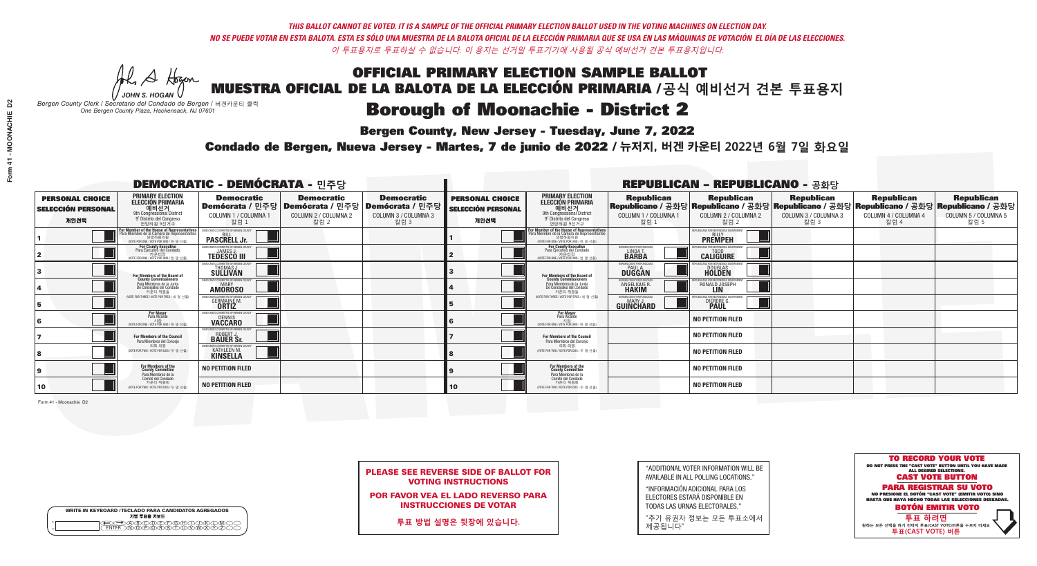A Hogan

| <b>WRITE-IN KEYBOARD /TECLADO PARA CANDIDATOS AGREGADOS</b><br>기명 투표용 키보드 |  |
|---------------------------------------------------------------------------|--|
| <del>©©</del> @@©@DD@@@Q@@D@@<br> CENTER\N@@@@R\\$\T\U\V\W\X\Y\Z\\        |  |

## OFFICIAL PRIMARY ELECTION SAMPLE BALLOT MUESTRA OFICIAL DE LA BALOTA DE LA ELECCIÓN PRIMARIA /**공식 예비선거 견본 투표용지**

# **Borough of Moonachie - District 2**

**Bergen County, New Jersey - Tuesday, June 7, 2022** 

*JOHN S. HOGAN Bergen County Clerk / Secretario del Condado de Bergen /* 버겐카운티 클럭 *One Bergen County Plaza, Hackensack, NJ 07601*



PLEASE SEE REVERSE SIDE OF BALLOT FOR VOTING INSTRUCTIONS

POR FAVOR VEA EL LADO REVERSO PARA INSTRUCCIONES DE VOTAR

**투표 방법 설명은 뒷장에 있습니다.**

"ADDITIONAL VOTER INFORMATION WILL BE AVAILABLE IN ALL POLLING LOCATIONS."

"INFORMACIÓN ADICIONAL PARA LOS ELECTORES ESTARÁ DISPONIBLE EN TODAS LAS URNAS ELECTORALES."

"추가 유권자 정보는 모든 투표소에서 제공됩니다"

Condado de Bergen, Nueva Jersey - Martes, 7 de junio de 2022 / 뉴저지, 버겐 카운티 2022년 6월 7일 화요일 *One Bergen County Plaza, Hackensack, NJ 07601*

|                                                             |                                                                                                                                                       | <b>DEMOCRATIC - DEMÓCRATA - 민주당</b>                                                                    |                                                   |                                                   | <b>REPUBLICAN - REPUBLICANO - 공화당</b>                       |                                                                                                                                   |                                                             |                                                                                                                                                 |                                                   |                                                   |                                                   |  |
|-------------------------------------------------------------|-------------------------------------------------------------------------------------------------------------------------------------------------------|--------------------------------------------------------------------------------------------------------|---------------------------------------------------|---------------------------------------------------|-------------------------------------------------------------|-----------------------------------------------------------------------------------------------------------------------------------|-------------------------------------------------------------|-------------------------------------------------------------------------------------------------------------------------------------------------|---------------------------------------------------|---------------------------------------------------|---------------------------------------------------|--|
| <b>PERSONAL CHOICE</b><br><b>SELECCIÓN PERSONAL</b><br>개인선택 | <b>PRIMARY ELECTION</b><br><b>ELECCIÓN PRIMARIA</b><br>예비선거<br><sup>9th</sup> Congressional District<br>9° Distrito del Congreso<br>연방하원 9선거구         | <b>Democratic</b><br>│Demócrata / 민주당│Demócrata / 민주당│Demócrata / 민주당│<br>COLUMN 1 / COLUMNA 1<br>칼럼 1 | <b>Democratic</b><br>COLUMN 2 / COLUMNA 2<br>칼럼 2 | <b>Democratic</b><br>COLUMN 3 / COLUMNA 3<br>칼럼 3 | <b>PERSONAL CHOICE</b><br><b>SELECCIÓN PERSONAL</b><br>개인선택 | <b>PRIMARY ELECTION</b><br>ELECCIÓN PRIMARIA<br>9th Congressional District<br>9° Distrito del Congreso<br>연방하원 9선거구               | <b>Republican</b><br>COLUMN 1 / COLUMNA 1<br>칼럼 1           | <b>Republican</b><br> Republicano / 공화당 Republicano / 공화당 Republicano / 공화당 Republicano / 공화당 Republicano / 공화당<br>COLUMN 2 / COLUMNA 2<br>칼럼 2 | <b>Republican</b><br>COLUMN 3 / COLUMNA 3<br>칼럼 3 | <b>Republican</b><br>COLUMN 4 / COLUMNA 4<br>칼럼 4 | <b>Republican</b><br>COLUMN 5 / COLUMNA 5<br>칼럼 5 |  |
|                                                             | F <b>or Member of the House of Representatives</b><br>Para Miembro de la Cámara de Representantes<br>연방하원의원<br>(VOTE FOR ONE / VOTE POR UNO / 한 명 선출) | COMMITTEE OF BERGEN COUNT<br><b>PASCRELL Jr.</b>                                                       |                                                   |                                                   |                                                             | For Member of the House of Representatives<br>Para Miembro de la Cámara de Representantes<br>WOTE FOR ONE / VOTE POR UNO / 한 명 선출 |                                                             | EPUBLICANS FOR RESPONSIBLE GOVERNMENT<br><b>PREMPEH</b>                                                                                         |                                                   |                                                   |                                                   |  |
|                                                             | For County Executive<br>Para Ejecutivo del Condado<br>가운티장 - 카운티장<br>(VOTE FOR ONE / VOTE POR UNO / 한 명 선출)                                           | EMOCRATIC COMMITTEE OF BERGEN COUNTY<br><b>TEDESCO III</b>                                             |                                                   |                                                   |                                                             | <b>For County Executive</b><br>Para Ejecutivo del Condado<br>(VOTE FOR ONE / VOTE POR UNO / 한 명 선출                                | ERGEN COUNTY REPUBLICAN<br>LINDA T.                         | <b>CALIGUIRE</b>                                                                                                                                |                                                   |                                                   |                                                   |  |
|                                                             | <b>For Members of the Board of<br/>County Commissioners</b>                                                                                           | <b>EMOCRATIC COMMITTEE OF BERGEN COUNTY</b><br>THOMAS J.                                               |                                                   |                                                   |                                                             | For Members of the Board of<br>County Commissioners                                                                               | BERGEN COUNTY REPUBLICAN<br><b>PAUL A.</b><br><b>DUGGAN</b> | <b>DOUGLAS</b>                                                                                                                                  |                                                   |                                                   |                                                   |  |
|                                                             | Para Miembros de la Junta<br>De Concejales del Condado<br>카운티 위원들                                                                                     | <b>EMOCRATIC COMMITTEE OF BERGEN COUNTY</b><br><b>AMOROSO</b>                                          |                                                   |                                                   |                                                             | Para Miembros de la Junta<br>De Concejales del Condado<br>카운티 위원들                                                                 | ERGEN COUNTY REPUBLICA<br>ANGELIQUE R.                      | RONALD JOSEPH<br><b>LIN</b>                                                                                                                     |                                                   |                                                   |                                                   |  |
|                                                             | NOTE FOR THREE / VOTE POR TRES / 세 명 선출)                                                                                                              | RATIC COMMITTEE OF RERGEN CO<br><b>GERMAINE M.</b>                                                     |                                                   |                                                   |                                                             | (VOTE FOR THREE / VOTE POR TRES / 세 명 선출)                                                                                         | ERGEN COUNTY REPUBLICAN<br>MARY J<br>GUINCHARD              | DIERDRE G.                                                                                                                                      |                                                   |                                                   |                                                   |  |
|                                                             | <b>For Mayor</b><br>Para Alcalde<br>시장<br>(VOTE FOR ONE / VOTE POR UNO / 한 명 선출)                                                                      | MOCRATIC COMMITTEE OF BERGEN COUNTY<br>DENNIS<br>VACCARO                                               |                                                   |                                                   |                                                             | <b>For Mayor</b><br>Para Alcalde<br>시장<br>(VOTE FOR ONE / VOTE POR UNO / 한 명 선출                                                   |                                                             | <b>NO PETITION FILED</b>                                                                                                                        |                                                   |                                                   |                                                   |  |
|                                                             | For Members of the Council<br>Para Miembros del Conceio                                                                                               | ICRATIC COMMITTEE OF RERGEN COLIN'<br>ROBERT J.                                                        |                                                   |                                                   |                                                             | For Members of the Council<br>Para Miembros del Concejo                                                                           |                                                             | <b>NO PETITION FILED</b>                                                                                                                        |                                                   |                                                   |                                                   |  |
|                                                             | 의회 의원<br>(VOTE FOR TWO / VOTE POR DOS / 두 명 선출)                                                                                                       | OCRATIC COMMITTEE OF BEBGEN COUN<br><b>KATHLEEN M.</b><br><b>KINSELLA</b>                              |                                                   |                                                   |                                                             | 의회 의원<br>(VOTE FOR TWO / VOTE POR DOS / 두 명 선출)                                                                                   |                                                             | <b>NO PETITION FILED</b>                                                                                                                        |                                                   |                                                   |                                                   |  |
|                                                             | For Members of the<br>County Committee<br>Para Miembros de la<br>Comité del Condado                                                                   | <b>NO PETITION FILED</b>                                                                               |                                                   |                                                   |                                                             | For Members of the<br>County Committee<br>Para Miembros de la<br>Comité del Condado                                               |                                                             | <b>NO PETITION FILED</b>                                                                                                                        |                                                   |                                                   |                                                   |  |
| 10                                                          | 카운티 위원회<br>(VOTE FOR TWO / VOTE POR DOS / 두 명 선출)                                                                                                     | <b>NO PETITION FILED</b>                                                                               |                                                   |                                                   | 10                                                          | 카운티 위원회<br>(VOTE FOR TWO / VOTE POR DOS / 두 명 선출)                                                                                 |                                                             | <b>NO PETITION FILED</b>                                                                                                                        |                                                   |                                                   |                                                   |  |

Form 41 - Moonachie D2